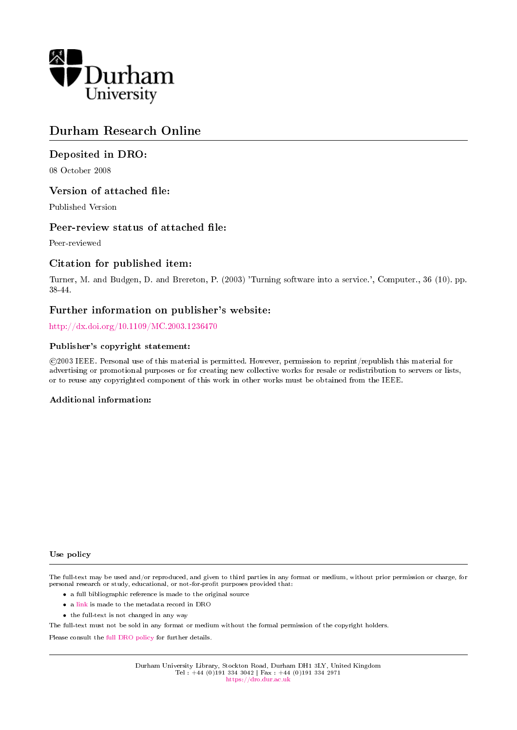

## Durham Research Online

## Deposited in DRO:

08 October 2008

## Version of attached file:

Published Version

## Peer-review status of attached file:

Peer-reviewed

## Citation for published item:

Turner, M. and Budgen, D. and Brereton, P. (2003) 'Turning software into a service.', Computer., 36 (10). pp. 38-44.

## Further information on publisher's website:

<http://dx.doi.org/10.1109/MC.2003.1236470>

## Publisher's copyright statement:

 c 2003 IEEE. Personal use of this material is permitted. However, permission to reprint/republish this material for advertising or promotional purposes or for creating new collective works for resale or redistribution to servers or lists, or to reuse any copyrighted component of this work in other works must be obtained from the IEEE.

## Additional information:

#### Use policy

The full-text may be used and/or reproduced, and given to third parties in any format or medium, without prior permission or charge, for personal research or study, educational, or not-for-profit purposes provided that:

- a full bibliographic reference is made to the original source
- a [link](http://dro.dur.ac.uk/624/) is made to the metadata record in DRO
- the full-text is not changed in any way

The full-text must not be sold in any format or medium without the formal permission of the copyright holders.

Please consult the [full DRO policy](https://dro.dur.ac.uk/policies/usepolicy.pdf) for further details.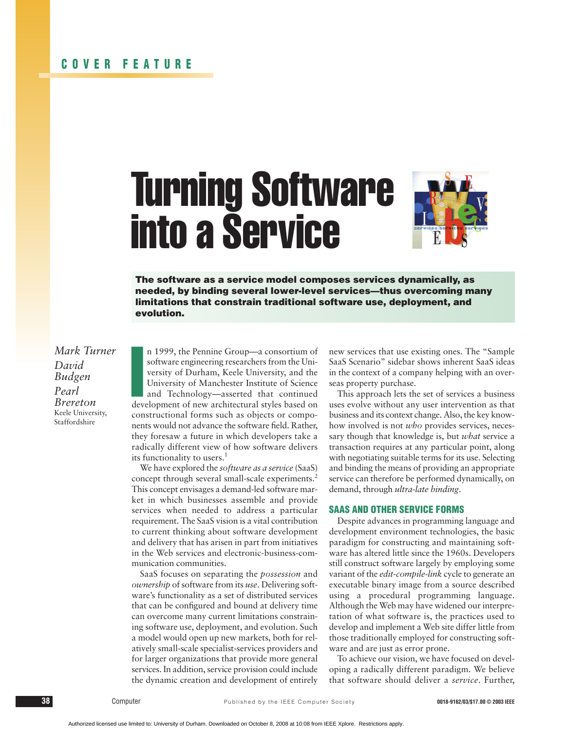# Turning Software into a Service



**The software as a service model composes services dynamically, as needed, by binding several lower-level services—thus overcoming many limitations that constrain traditional software use, deployment, and evolution.**

*Mark Turner David Budgen Pearl Brereton* Keele University, Staffordshire

n 1999, the Pennine Group—a consortium of<br>software engineering researchers from the University of Durham, Keele University, and the<br>University of Manchester Institute of Science<br>and Technology—asserted that continued<br>devel n 1999, the Pennine Group—a consortium of software engineering researchers from the University of Durham, Keele University, and the University of Manchester Institute of Science and Technology—asserted that continued constructional forms such as objects or components would not advance the software field. Rather, they foresaw a future in which developers take a radically different view of how software delivers its functionality to users.<sup>1</sup>

We have explored the *software as a service* (SaaS) concept through several small-scale experiments.<sup>2</sup> This concept envisages a demand-led software market in which businesses assemble and provide services when needed to address a particular requirement. The SaaS vision is a vital contribution to current thinking about software development and delivery that has arisen in part from initiatives in the Web services and electronic-business-communication communities.

SaaS focuses on separating the *possession* and *ownership* of software from its *use*. Delivering software's functionality as a set of distributed services that can be configured and bound at delivery time can overcome many current limitations constraining software use, deployment, and evolution. Such a model would open up new markets, both for relatively small-scale specialist-services providers and for larger organizations that provide more general services. In addition, service provision could include the dynamic creation and development of entirely

new services that use existing ones. The "Sample SaaS Scenario" sidebar shows inherent SaaS ideas in the context of a company helping with an overseas property purchase.

This approach lets the set of services a business uses evolve without any user intervention as that business and its context change. Also, the key knowhow involved is not *who* provides services, necessary though that knowledge is, but *what* service a transaction requires at any particular point, along with negotiating suitable terms for its use. Selecting and binding the means of providing an appropriate service can therefore be performed dynamically, on demand, through *ultra-late binding*.

#### **SAAS AND OTHER SERVICE FORMS**

Despite advances in programming language and development environment technologies, the basic paradigm for constructing and maintaining software has altered little since the 1960s. Developers still construct software largely by employing some variant of the *edit-compile-link* cycle to generate an executable binary image from a source described using a procedural programming language. Although the Web may have widened our interpretation of what software is, the practices used to develop and implement a Web site differ little from those traditionally employed for constructing software and are just as error prone.

To achieve our vision, we have focused on developing a radically different paradigm. We believe that software should deliver a *service*. Further,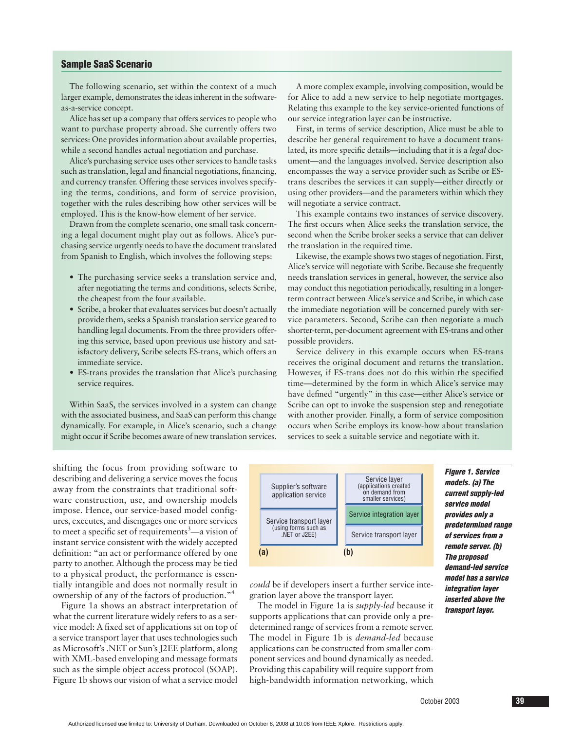#### **Sample SaaS Scenario**

The following scenario, set within the context of a much larger example, demonstrates the ideas inherent in the softwareas-a-service concept.

Alice has set up a company that offers services to people who want to purchase property abroad. She currently offers two services: One provides information about available properties, while a second handles actual negotiation and purchase.

Alice's purchasing service uses other services to handle tasks such as translation, legal and financial negotiations, financing, and currency transfer. Offering these services involves specifying the terms, conditions, and form of service provision, together with the rules describing how other services will be employed. This is the know-how element of her service.

Drawn from the complete scenario, one small task concerning a legal document might play out as follows. Alice's purchasing service urgently needs to have the document translated from Spanish to English, which involves the following steps:

- *•* The purchasing service seeks a translation service and, after negotiating the terms and conditions, selects Scribe, the cheapest from the four available.
- *•* Scribe, a broker that evaluates services but doesn't actually provide them, seeks a Spanish translation service geared to handling legal documents. From the three providers offering this service, based upon previous use history and satisfactory delivery, Scribe selects ES-trans, which offers an immediate service.
- *•* ES-trans provides the translation that Alice's purchasing service requires.

Within SaaS, the services involved in a system can change with the associated business, and SaaS can perform this change dynamically. For example, in Alice's scenario, such a change might occur if Scribe becomes aware of new translation services.

A more complex example, involving composition, would be for Alice to add a new service to help negotiate mortgages. Relating this example to the key service-oriented functions of our service integration layer can be instructive.

First, in terms of service description, Alice must be able to describe her general requirement to have a document translated, its more specific details—including that it is a *legal* document—and the languages involved. Service description also encompasses the way a service provider such as Scribe or EStrans describes the services it can supply—either directly or using other providers—and the parameters within which they will negotiate a service contract.

This example contains two instances of service discovery. The first occurs when Alice seeks the translation service, the second when the Scribe broker seeks a service that can deliver the translation in the required time.

Likewise, the example shows two stages of negotiation. First, Alice's service will negotiate with Scribe. Because she frequently needs translation services in general, however, the service also may conduct this negotiation periodically, resulting in a longerterm contract between Alice's service and Scribe, in which case the immediate negotiation will be concerned purely with service parameters. Second, Scribe can then negotiate a much shorter-term, per-document agreement with ES-trans and other possible providers.

Service delivery in this example occurs when ES-trans receives the original document and returns the translation. However, if ES-trans does not do this within the specified time—determined by the form in which Alice's service may have defined "urgently" in this case—either Alice's service or Scribe can opt to invoke the suspension step and renegotiate with another provider. Finally, a form of service composition occurs when Scribe employs its know-how about translation services to seek a suitable service and negotiate with it.

shifting the focus from providing software to describing and delivering a service moves the focus away from the constraints that traditional software construction, use, and ownership models impose. Hence, our service-based model configures, executes, and disengages one or more services to meet a specific set of requirements<sup>3</sup>—a vision of instant service consistent with the widely accepted definition: "an act or performance offered by one party to another. Although the process may be tied to a physical product, the performance is essentially intangible and does not normally result in ownership of any of the factors of production."4

Figure 1a shows an abstract interpretation of what the current literature widely refers to as a service model: A fixed set of applications sit on top of a service transport layer that uses technologies such as Microsoft's .NET or Sun's J2EE platform, along with XML-based enveloping and message formats such as the simple object access protocol (SOAP). Figure 1b shows our vision of what a service model



*could* be if developers insert a further service integration layer above the transport layer.

The model in Figure 1a is *supply-led* because it supports applications that can provide only a predetermined range of services from a remote server. The model in Figure 1b is *demand-led* because applications can be constructed from smaller component services and bound dynamically as needed. Providing this capability will require support from high-bandwidth information networking, which *Figure 1. Service models. (a) The current supply-led service model provides only a predetermined range of services from a remote server. (b) The proposed demand-led service model has a service integration layer inserted above the transport layer.*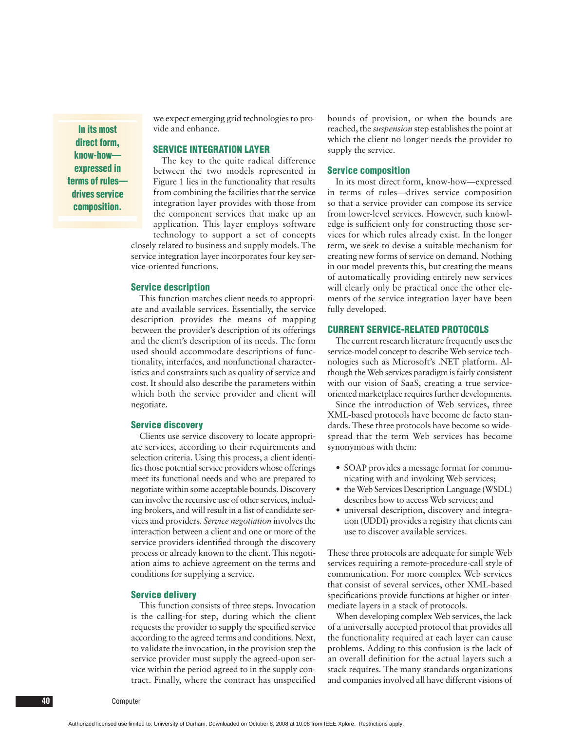**In its most direct form, know-how expressed in terms of rules drives service composition.**

we expect emerging grid technologies to provide and enhance.

#### **SERVICE INTEGRATION LAYER**

The key to the quite radical difference between the two models represented in Figure 1 lies in the functionality that results from combining the facilities that the service integration layer provides with those from the component services that make up an application. This layer employs software technology to support a set of concepts

closely related to business and supply models. The service integration layer incorporates four key service-oriented functions.

#### **Service description**

This function matches client needs to appropriate and available services. Essentially, the service description provides the means of mapping between the provider's description of its offerings and the client's description of its needs. The form used should accommodate descriptions of functionality, interfaces, and nonfunctional characteristics and constraints such as quality of service and cost. It should also describe the parameters within which both the service provider and client will negotiate.

#### **Service discovery**

Clients use service discovery to locate appropriate services, according to their requirements and selection criteria. Using this process, a client identifies those potential service providers whose offerings meet its functional needs and who are prepared to negotiate within some acceptable bounds. Discovery can involve the recursive use of other services, including brokers, and will result in a list of candidate services and providers. *Service negotiation* involves the interaction between a client and one or more of the service providers identified through the discovery process or already known to the client. This negotiation aims to achieve agreement on the terms and conditions for supplying a service.

#### **Service delivery**

This function consists of three steps. Invocation is the calling-for step, during which the client requests the provider to supply the specified service according to the agreed terms and conditions. Next, to validate the invocation, in the provision step the service provider must supply the agreed-upon service within the period agreed to in the supply contract. Finally, where the contract has unspecified bounds of provision, or when the bounds are reached, the *suspension* step establishes the point at which the client no longer needs the provider to supply the service.

#### **Service composition**

In its most direct form, know-how—expressed in terms of rules—drives service composition so that a service provider can compose its service from lower-level services. However, such knowledge is sufficient only for constructing those services for which rules already exist. In the longer term, we seek to devise a suitable mechanism for creating new forms of service on demand. Nothing in our model prevents this, but creating the means of automatically providing entirely new services will clearly only be practical once the other elements of the service integration layer have been fully developed.

#### **CURRENT SERVICE-RELATED PROTOCOLS**

The current research literature frequently uses the service-model concept to describe Web service technologies such as Microsoft's .NET platform. Although the Web services paradigm is fairly consistent with our vision of SaaS, creating a true serviceoriented marketplace requires further developments.

Since the introduction of Web services, three XML-based protocols have become de facto standards. These three protocols have become so widespread that the term Web services has become synonymous with them:

- SOAP provides a message format for communicating with and invoking Web services;
- the Web Services Description Language (WSDL) describes how to access Web services; and
- universal description, discovery and integration (UDDI) provides a registry that clients can use to discover available services.

These three protocols are adequate for simple Web services requiring a remote-procedure-call style of communication. For more complex Web services that consist of several services, other XML-based specifications provide functions at higher or intermediate layers in a stack of protocols.

When developing complex Web services, the lack of a universally accepted protocol that provides all the functionality required at each layer can cause problems. Adding to this confusion is the lack of an overall definition for the actual layers such a stack requires. The many standards organizations and companies involved all have different visions of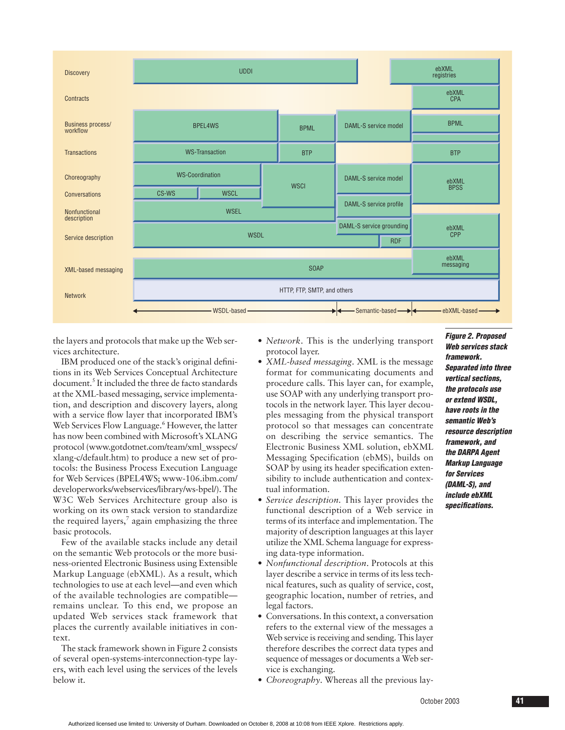

the layers and protocols that make up the Web services architecture.

IBM produced one of the stack's original definitions in its Web Services Conceptual Architecture document.<sup>5</sup> It included the three de facto standards at the XML-based messaging, service implementation, and description and discovery layers, along with a service flow layer that incorporated IBM's Web Services Flow Language.<sup>6</sup> However, the latter has now been combined with Microsoft's XLANG protocol (www.gotdotnet.com/team/xml\_wsspecs/ xlang-c/default.htm) to produce a new set of protocols: the Business Process Execution Language for Web Services (BPEL4WS; www-106.ibm.com/ developerworks/webservices/library/ws-bpel/). The W3C Web Services Architecture group also is working on its own stack version to standardize the required layers, $\frac{7}{2}$  again emphasizing the three basic protocols.

Few of the available stacks include any detail on the semantic Web protocols or the more business-oriented Electronic Business using Extensible Markup Language (ebXML). As a result, which technologies to use at each level—and even which of the available technologies are compatible remains unclear. To this end, we propose an updated Web services stack framework that places the currently available initiatives in context.

The stack framework shown in Figure 2 consists of several open-systems-interconnection-type layers, with each level using the services of the levels below it.

- *Network*. This is the underlying transport protocol layer.
- *XML-based messaging*. XML is the message format for communicating documents and procedure calls. This layer can, for example, use SOAP with any underlying transport protocols in the network layer. This layer decouples messaging from the physical transport protocol so that messages can concentrate on describing the service semantics. The Electronic Business XML solution, ebXML Messaging Specification (ebMS), builds on SOAP by using its header specification extensibility to include authentication and contextual information.
- *Service description.* This layer provides the functional description of a Web service in terms of its interface and implementation. The majority of description languages at this layer utilize the XML Schema language for expressing data-type information.
- *Nonfunctional description*. Protocols at this layer describe a service in terms of its less technical features, such as quality of service, cost, geographic location, number of retries, and legal factors.
- Conversations. In this context, a conversation refers to the external view of the messages a Web service is receiving and sending. This layer therefore describes the correct data types and sequence of messages or documents a Web service is exchanging.
- *Choreography*. Whereas all the previous lay-

*Web services stack framework. Separated into three vertical sections, the protocols use or extend WSDL, have roots in the semantic Web's resource description framework, and the DARPA Agent Markup Language for Services (DAML-S), and include ebXML specifications.*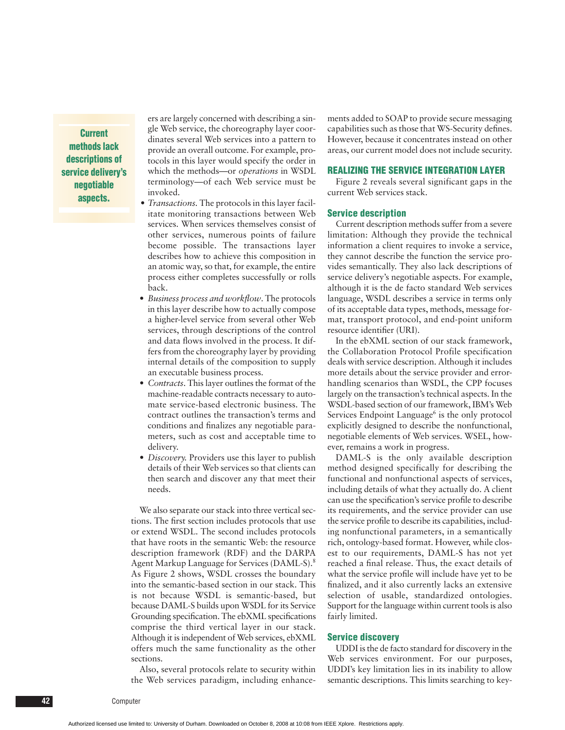## **Current methods lack descriptions of service delivery's negotiable aspects.**

ers are largely concerned with describing a single Web service, the choreography layer coordinates several Web services into a pattern to provide an overall outcome. For example, protocols in this layer would specify the order in which the methods—or *operations* in WSDL terminology—of each Web service must be invoked.

- *Transactions.* The protocols in this layer facilitate monitoring transactions between Web services. When services themselves consist of other services, numerous points of failure become possible. The transactions layer describes how to achieve this composition in an atomic way, so that, for example, the entire process either completes successfully or rolls back.
- *Business process and workflow*. The protocols in this layer describe how to actually compose a higher-level service from several other Web services, through descriptions of the control and data flows involved in the process. It differs from the choreography layer by providing internal details of the composition to supply an executable business process.
- *Contracts*. This layer outlines the format of the machine-readable contracts necessary to automate service-based electronic business. The contract outlines the transaction's terms and conditions and finalizes any negotiable parameters, such as cost and acceptable time to delivery.
- *Discovery.* Providers use this layer to publish details of their Web services so that clients can then search and discover any that meet their needs.

We also separate our stack into three vertical sections. The first section includes protocols that use or extend WSDL. The second includes protocols that have roots in the semantic Web: the resource description framework (RDF) and the DARPA Agent Markup Language for Services (DAML-S).<sup>8</sup> As Figure 2 shows, WSDL crosses the boundary into the semantic-based section in our stack. This is not because WSDL is semantic-based, but because DAML-S builds upon WSDL for its Service Grounding specification. The ebXML specifications comprise the third vertical layer in our stack. Although it is independent of Web services, ebXML offers much the same functionality as the other sections.

Also, several protocols relate to security within the Web services paradigm, including enhancements added to SOAP to provide secure messaging capabilities such as those that WS-Security defines. However, because it concentrates instead on other areas, our current model does not include security.

#### **REALIZING THE SERVICE INTEGRATION LAYER**

Figure 2 reveals several significant gaps in the current Web services stack.

#### **Service description**

Current description methods suffer from a severe limitation: Although they provide the technical information a client requires to invoke a service, they cannot describe the function the service provides semantically. They also lack descriptions of service delivery's negotiable aspects. For example, although it is the de facto standard Web services language, WSDL describes a service in terms only of its acceptable data types, methods, message format, transport protocol, and end-point uniform resource identifier (URI).

In the ebXML section of our stack framework, the Collaboration Protocol Profile specification deals with service description. Although it includes more details about the service provider and errorhandling scenarios than WSDL, the CPP focuses largely on the transaction's technical aspects. In the WSDL-based section of our framework, IBM's Web Services Endpoint Language<sup>6</sup> is the only protocol explicitly designed to describe the nonfunctional, negotiable elements of Web services. WSEL, however, remains a work in progress.

DAML-S is the only available description method designed specifically for describing the functional and nonfunctional aspects of services, including details of what they actually do. A client can use the specification's service profile to describe its requirements, and the service provider can use the service profile to describe its capabilities, including nonfunctional parameters, in a semantically rich, ontology-based format. However, while closest to our requirements, DAML-S has not yet reached a final release. Thus, the exact details of what the service profile will include have yet to be finalized, and it also currently lacks an extensive selection of usable, standardized ontologies. Support for the language within current tools is also fairly limited.

#### **Service discovery**

UDDI is the de facto standard for discovery in the Web services environment. For our purposes, UDDI's key limitation lies in its inability to allow semantic descriptions. This limits searching to key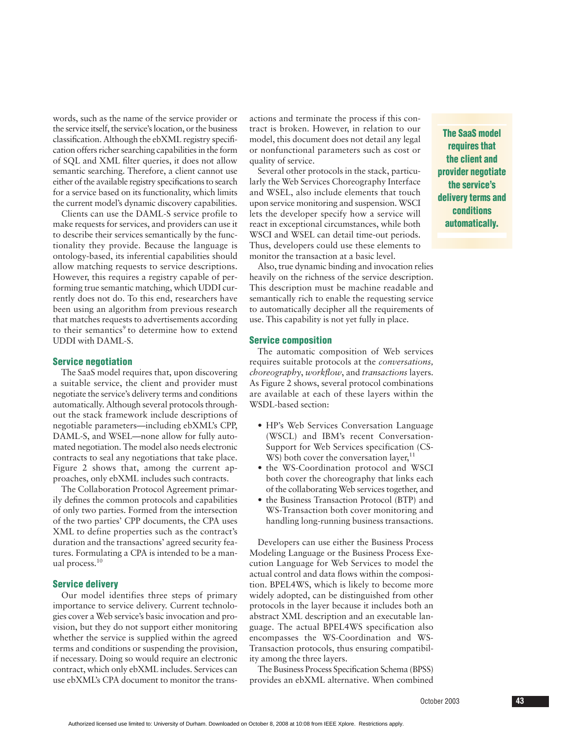words, such as the name of the service provider or the service itself, the service's location, or the business classification. Although the ebXML registry specification offers richer searching capabilities in the form of SQL and XML filter queries, it does not allow semantic searching. Therefore, a client cannot use either of the available registry specifications to search for a service based on its functionality, which limits the current model's dynamic discovery capabilities.

Clients can use the DAML-S service profile to make requests for services, and providers can use it to describe their services semantically by the functionality they provide. Because the language is ontology-based, its inferential capabilities should allow matching requests to service descriptions. However, this requires a registry capable of performing true semantic matching, which UDDI currently does not do. To this end, researchers have been using an algorithm from previous research that matches requests to advertisements according to their semantics<sup>9</sup> to determine how to extend UDDI with DAML-S.

#### **Service negotiation**

The SaaS model requires that, upon discovering a suitable service, the client and provider must negotiate the service's delivery terms and conditions automatically. Although several protocols throughout the stack framework include descriptions of negotiable parameters—including ebXML's CPP, DAML-S, and WSEL—none allow for fully automated negotiation. The model also needs electronic contracts to seal any negotiations that take place. Figure 2 shows that, among the current approaches, only ebXML includes such contracts.

The Collaboration Protocol Agreement primarily defines the common protocols and capabilities of only two parties. Formed from the intersection of the two parties' CPP documents, the CPA uses XML to define properties such as the contract's duration and the transactions' agreed security features. Formulating a CPA is intended to be a manual process.10

#### **Service delivery**

Our model identifies three steps of primary importance to service delivery. Current technologies cover a Web service's basic invocation and provision, but they do not support either monitoring whether the service is supplied within the agreed terms and conditions or suspending the provision, if necessary. Doing so would require an electronic contract, which only ebXML includes. Services can use ebXML's CPA document to monitor the transactions and terminate the process if this contract is broken. However, in relation to our model, this document does not detail any legal or nonfunctional parameters such as cost or quality of service.

Several other protocols in the stack, particularly the Web Services Choreography Interface and WSEL, also include elements that touch upon service monitoring and suspension. WSCI lets the developer specify how a service will react in exceptional circumstances, while both WSCI and WSEL can detail time-out periods. Thus, developers could use these elements to monitor the transaction at a basic level.

Also, true dynamic binding and invocation relies heavily on the richness of the service description. This description must be machine readable and semantically rich to enable the requesting service to automatically decipher all the requirements of use. This capability is not yet fully in place.

#### **Service composition**

The automatic composition of Web services requires suitable protocols at the *conversations, choreography*, *workflow*, and *transactions* layers. As Figure 2 shows, several protocol combinations are available at each of these layers within the WSDL-based section:

- HP's Web Services Conversation Language (WSCL) and IBM's recent Conversation-Support for Web Services specification (CS-WS) both cover the conversation layer,  $11$
- the WS-Coordination protocol and WSCI both cover the choreography that links each of the collaborating Web services together, and
- the Business Transaction Protocol (BTP) and WS-Transaction both cover monitoring and handling long-running business transactions.

Developers can use either the Business Process Modeling Language or the Business Process Execution Language for Web Services to model the actual control and data flows within the composition. BPEL4WS, which is likely to become more widely adopted, can be distinguished from other protocols in the layer because it includes both an abstract XML description and an executable language. The actual BPEL4WS specification also encompasses the WS-Coordination and WS-Transaction protocols, thus ensuring compatibility among the three layers.

The Business Process Specification Schema (BPSS) provides an ebXML alternative. When combined

**The SaaS model requires that the client and provider negotiate the service's delivery terms and conditions automatically.**